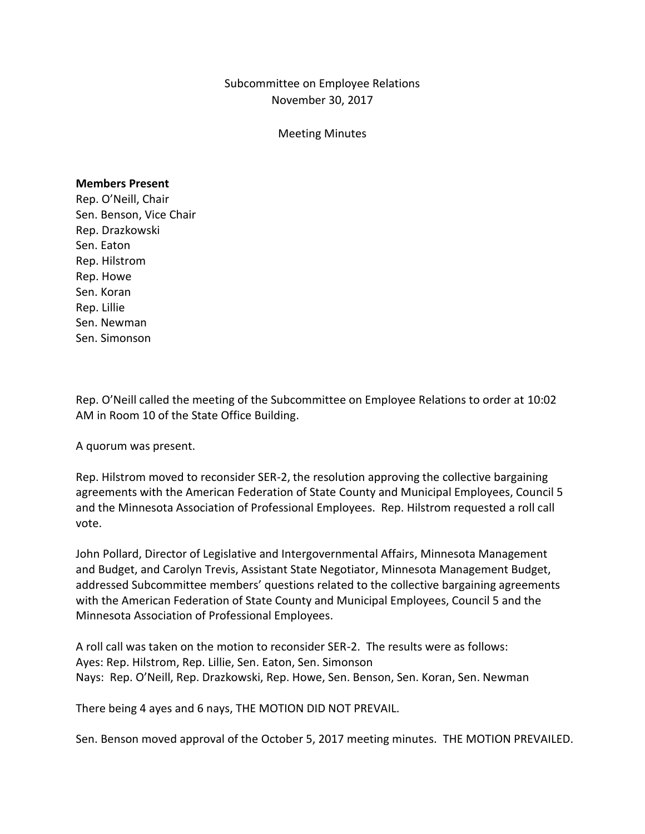Subcommittee on Employee Relations November 30, 2017

Meeting Minutes

## **Members Present**

Rep. O'Neill, Chair Sen. Benson, Vice Chair Rep. Drazkowski Sen. Eaton Rep. Hilstrom Rep. Howe Sen. Koran Rep. Lillie Sen. Newman Sen. Simonson

Rep. O'Neill called the meeting of the Subcommittee on Employee Relations to order at 10:02 AM in Room 10 of the State Office Building.

A quorum was present.

Rep. Hilstrom moved to reconsider SER-2, the resolution approving the collective bargaining agreements with the American Federation of State County and Municipal Employees, Council 5 and the Minnesota Association of Professional Employees. Rep. Hilstrom requested a roll call vote.

John Pollard, Director of Legislative and Intergovernmental Affairs, Minnesota Management and Budget, and Carolyn Trevis, Assistant State Negotiator, Minnesota Management Budget, addressed Subcommittee members' questions related to the collective bargaining agreements with the American Federation of State County and Municipal Employees, Council 5 and the Minnesota Association of Professional Employees.

A roll call was taken on the motion to reconsider SER-2. The results were as follows: Ayes: Rep. Hilstrom, Rep. Lillie, Sen. Eaton, Sen. Simonson Nays: Rep. O'Neill, Rep. Drazkowski, Rep. Howe, Sen. Benson, Sen. Koran, Sen. Newman

There being 4 ayes and 6 nays, THE MOTION DID NOT PREVAIL.

Sen. Benson moved approval of the October 5, 2017 meeting minutes. THE MOTION PREVAILED.